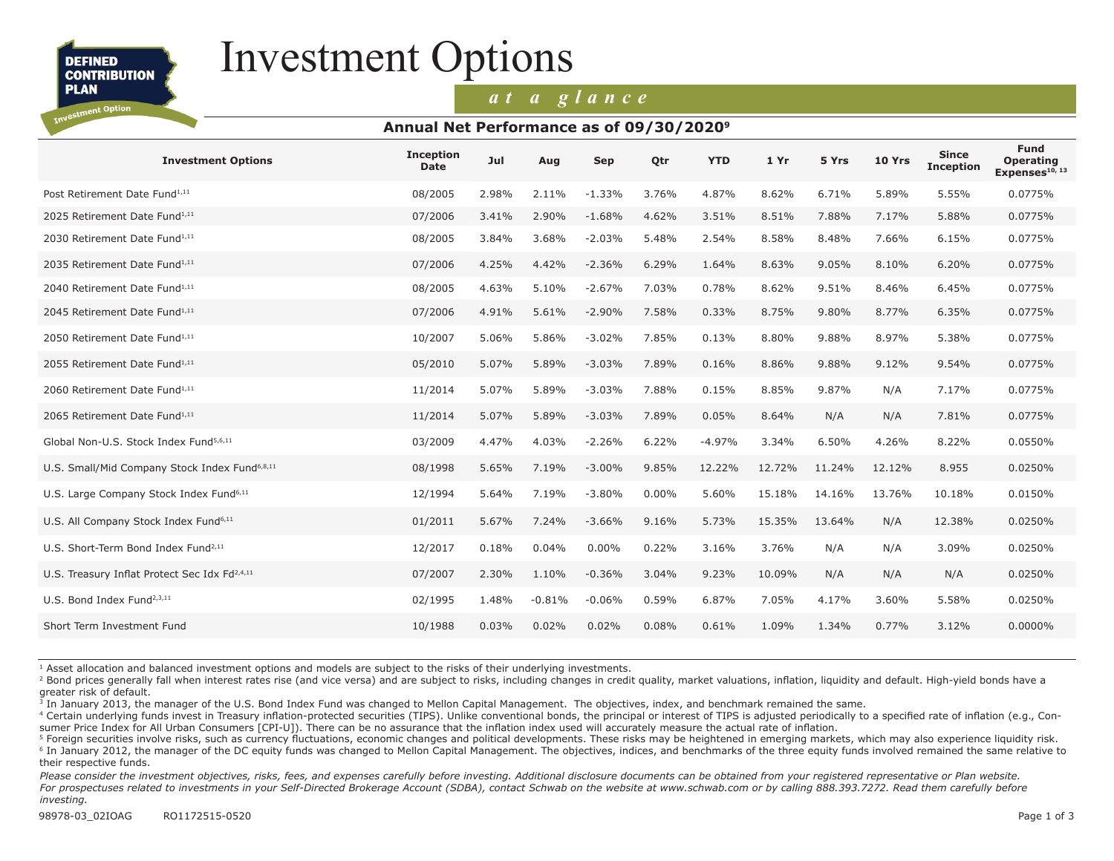**DEFINED CONTRIBUTION** 

**PLAN** estment Option

# Investment Options

### *at a glance*

#### **Annual Net Performance as of 09/30/20209**

| <b>Investment Options</b>                                 | <b>Inception</b><br><b>Date</b> | Jul   | Aug      | Sep      | Otr      | <b>YTD</b> | 1Yr    | 5 Yrs  | <b>10 Yrs</b> | <b>Since</b><br><b>Inception</b> | <b>Fund</b><br><b>Operating</b><br>Expenses <sup>10, 13</sup> |
|-----------------------------------------------------------|---------------------------------|-------|----------|----------|----------|------------|--------|--------|---------------|----------------------------------|---------------------------------------------------------------|
| Post Retirement Date Fund <sup>1,11</sup>                 | 08/2005                         | 2.98% | 2.11%    | $-1.33%$ | 3.76%    | 4.87%      | 8.62%  | 6.71%  | 5.89%         | 5.55%                            | 0.0775%                                                       |
| 2025 Retirement Date Fund <sup>1,11</sup>                 | 07/2006                         | 3.41% | 2.90%    | $-1.68%$ | 4.62%    | 3.51%      | 8.51%  | 7.88%  | 7.17%         | 5.88%                            | 0.0775%                                                       |
| 2030 Retirement Date Fund <sup>1,11</sup>                 | 08/2005                         | 3.84% | 3.68%    | $-2.03%$ | 5.48%    | 2.54%      | 8.58%  | 8.48%  | 7.66%         | 6.15%                            | 0.0775%                                                       |
| 2035 Retirement Date Fund <sup>1,11</sup>                 | 07/2006                         | 4.25% | 4.42%    | $-2.36%$ | 6.29%    | 1.64%      | 8.63%  | 9.05%  | 8.10%         | 6.20%                            | 0.0775%                                                       |
| 2040 Retirement Date Fund <sup>1,11</sup>                 | 08/2005                         | 4.63% | 5.10%    | $-2.67%$ | 7.03%    | 0.78%      | 8.62%  | 9.51%  | 8.46%         | 6.45%                            | 0.0775%                                                       |
| 2045 Retirement Date Fund <sup>1,11</sup>                 | 07/2006                         | 4.91% | 5.61%    | $-2.90%$ | 7.58%    | 0.33%      | 8.75%  | 9.80%  | 8.77%         | 6.35%                            | 0.0775%                                                       |
| 2050 Retirement Date Fund <sup>1,11</sup>                 | 10/2007                         | 5.06% | 5.86%    | $-3.02%$ | 7.85%    | 0.13%      | 8.80%  | 9.88%  | 8.97%         | 5.38%                            | 0.0775%                                                       |
| 2055 Retirement Date Fund <sup>1,11</sup>                 | 05/2010                         | 5.07% | 5.89%    | $-3.03%$ | 7.89%    | 0.16%      | 8.86%  | 9.88%  | 9.12%         | 9.54%                            | 0.0775%                                                       |
| 2060 Retirement Date Fund <sup>1,11</sup>                 | 11/2014                         | 5.07% | 5.89%    | $-3.03%$ | 7.88%    | 0.15%      | 8.85%  | 9.87%  | N/A           | 7.17%                            | 0.0775%                                                       |
| 2065 Retirement Date Fund <sup>1,11</sup>                 | 11/2014                         | 5.07% | 5.89%    | $-3.03%$ | 7.89%    | 0.05%      | 8.64%  | N/A    | N/A           | 7.81%                            | 0.0775%                                                       |
| Global Non-U.S. Stock Index Fund <sup>5,6,11</sup>        | 03/2009                         | 4.47% | 4.03%    | $-2.26%$ | 6.22%    | $-4.97%$   | 3.34%  | 6.50%  | 4.26%         | 8.22%                            | 0.0550%                                                       |
| U.S. Small/Mid Company Stock Index Fund <sup>6,8,11</sup> | 08/1998                         | 5.65% | 7.19%    | $-3.00%$ | 9.85%    | 12.22%     | 12.72% | 11.24% | 12.12%        | 8.955                            | 0.0250%                                                       |
| U.S. Large Company Stock Index Fund <sup>6,11</sup>       | 12/1994                         | 5.64% | 7.19%    | $-3.80%$ | $0.00\%$ | 5.60%      | 15.18% | 14.16% | 13.76%        | 10.18%                           | 0.0150%                                                       |
| U.S. All Company Stock Index Fund <sup>6,11</sup>         | 01/2011                         | 5.67% | 7.24%    | $-3.66%$ | 9.16%    | 5.73%      | 15.35% | 13.64% | N/A           | 12.38%                           | 0.0250%                                                       |
| U.S. Short-Term Bond Index Fund <sup>2,11</sup>           | 12/2017                         | 0.18% | 0.04%    | $0.00\%$ | 0.22%    | 3.16%      | 3.76%  | N/A    | N/A           | 3.09%                            | 0.0250%                                                       |
| U.S. Treasury Inflat Protect Sec Idx Fd <sup>2,4,11</sup> | 07/2007                         | 2.30% | 1.10%    | $-0.36%$ | 3.04%    | 9.23%      | 10.09% | N/A    | N/A           | N/A                              | 0.0250%                                                       |
| U.S. Bond Index Fund <sup>2,3,11</sup>                    | 02/1995                         | 1.48% | $-0.81%$ | $-0.06%$ | 0.59%    | 6.87%      | 7.05%  | 4.17%  | 3.60%         | 5.58%                            | 0.0250%                                                       |
| Short Term Investment Fund                                | 10/1988                         | 0.03% | 0.02%    | 0.02%    | 0.08%    | 0.61%      | 1.09%  | 1.34%  | 0.77%         | 3.12%                            | $0.0000\%$                                                    |

1 Asset allocation and balanced investment options and models are subject to the risks of their underlying investments.

<sup>2</sup> Bond prices generally fall when interest rates rise (and vice versa) and are subject to risks, including changes in credit quality, market valuations, inflation, liquidity and default. High-yield bonds have a greater risk of default.

<sup>3</sup> In January 2013, the manager of the U.S. Bond Index Fund was changed to Mellon Capital Management. The objectives, index, and benchmark remained the same.

<sup>4</sup> Certain underlying funds invest in Treasury inflation-protected securities (TIPS). Unlike conventional bonds, the principal or interest of TIPS is adjusted periodically to a specified rate of inflation (e.g., Consumer Price Index for All Urban Consumers [CPI-U]). There can be no assurance that the inflation index used will accurately measure the actual rate of inflation.

<sup>5</sup> Foreign securities involve risks, such as currency fluctuations, economic changes and political developments. These risks may be heightened in emerging markets, which may also experience liquidity risk. <sup>6</sup> In January 2012, the manager of the DC equity funds was changed to Mellon Capital Management. The objectives, indices, and benchmarks of the three equity funds involved remained the same relative to their respective funds.

Please consider the investment objectives, risks, fees, and expenses carefully before investing. Additional disclosure documents can be obtained from your registered representative or Plan website. For prospectuses related to investments in your Self-Directed Brokerage Account (SDBA), contact Schwab on the website at www.schwab.com or by calling 888.393.7272. Read them carefully before *investing.*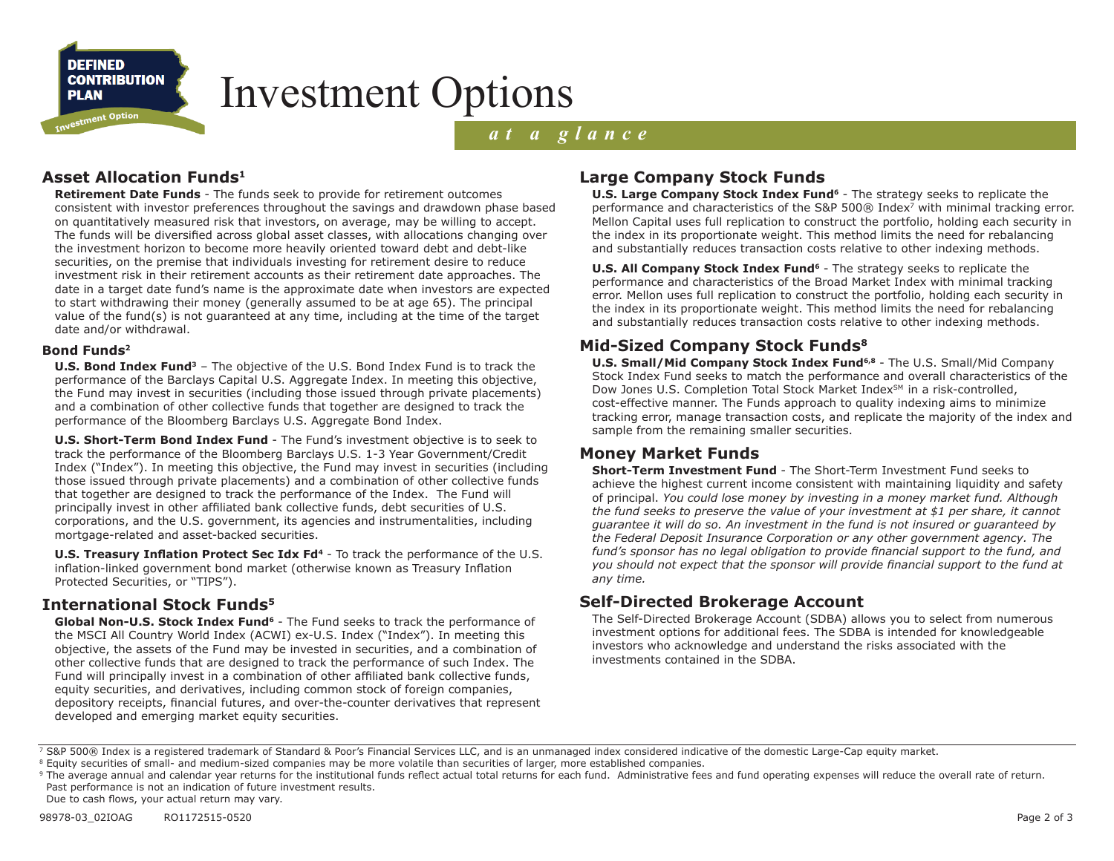

# Investment Options

### *at a glance*

#### **Asset Allocation Funds1**

**Retirement Date Funds** - The funds seek to provide for retirement outcomes consistent with investor preferences throughout the savings and drawdown phase based on quantitatively measured risk that investors, on average, may be willing to accept. The funds will be diversified across global asset classes, with allocations changing over the investment horizon to become more heavily oriented toward debt and debt-like securities, on the premise that individuals investing for retirement desire to reduce investment risk in their retirement accounts as their retirement date approaches. The date in a target date fund's name is the approximate date when investors are expected to start withdrawing their money (generally assumed to be at age 65). The principal value of the fund(s) is not guaranteed at any time, including at the time of the target date and/or withdrawal.

#### **Bond Funds2**

**U.S. Bond Index Fund3** – The objective of the U.S. Bond Index Fund is to track the performance of the Barclays Capital U.S. Aggregate Index. In meeting this objective, the Fund may invest in securities (including those issued through private placements) and a combination of other collective funds that together are designed to track the performance of the Bloomberg Barclays U.S. Aggregate Bond Index.

**U.S. Short-Term Bond Index Fund** - The Fund's investment objective is to seek to track the performance of the Bloomberg Barclays U.S. 1-3 Year Government/Credit Index ("Index"). In meeting this objective, the Fund may invest in securities (including those issued through private placements) and a combination of other collective funds that together are designed to track the performance of the Index. The Fund will principally invest in other affiliated bank collective funds, debt securities of U.S. corporations, and the U.S. government, its agencies and instrumentalities, including mortgage-related and asset-backed securities.

**U.S. Treasury Inflation Protect Sec Idx Fd<sup>4</sup>** - To track the performance of the U.S. inflation-linked government bond market (otherwise known as Treasury Inflation Protected Securities, or "TIPS").

#### **International Stock Funds5**

Global Non-U.S. Stock Index Fund<sup>6</sup> - The Fund seeks to track the performance of the MSCI All Country World Index (ACWI) ex-U.S. Index ("Index"). In meeting this objective, the assets of the Fund may be invested in securities, and a combination of other collective funds that are designed to track the performance of such Index. The Fund will principally invest in a combination of other affiliated bank collective funds, equity securities, and derivatives, including common stock of foreign companies, depository receipts, financial futures, and over-the-counter derivatives that represent developed and emerging market equity securities.

### **Large Company Stock Funds**

**U.S. Large Company Stock Index Fund<sup>6</sup>** - The strategy seeks to replicate the performance and characteristics of the S&P 500® Index7 with minimal tracking error. Mellon Capital uses full replication to construct the portfolio, holding each security in the index in its proportionate weight. This method limits the need for rebalancing and substantially reduces transaction costs relative to other indexing methods.

**U.S. All Company Stock Index Fund<sup>6</sup>** - The strategy seeks to replicate the performance and characteristics of the Broad Market Index with minimal tracking error. Mellon uses full replication to construct the portfolio, holding each security in the index in its proportionate weight. This method limits the need for rebalancing and substantially reduces transaction costs relative to other indexing methods.

#### **Mid-Sized Company Stock Funds8**

**U.S. Small/Mid Company Stock Index Fund6,8** - The U.S. Small/Mid Company Stock Index Fund seeks to match the performance and overall characteristics of the Dow Jones U.S. Completion Total Stock Market Index<sup>SM</sup> in a risk-controlled, cost-effective manner. The Funds approach to quality indexing aims to minimize tracking error, manage transaction costs, and replicate the majority of the index and sample from the remaining smaller securities.

#### **Money Market Funds**

**Short-Term Investment Fund** - The Short-Term Investment Fund seeks to achieve the highest current income consistent with maintaining liquidity and safety of principal. *You could lose money by investing in a money market fund. Although the fund seeks to preserve the value of your investment at \$1 per share, it cannot guarantee it will do so. An investment in the fund is not insured or guaranteed by the Federal Deposit Insurance Corporation or any other government agency. The fund's sponsor has no legal obligation to provide financial support to the fund, and you should not expect that the sponsor will provide financial support to the fund at any time.*

#### **Self-Directed Brokerage Account**

The Self-Directed Brokerage Account (SDBA) allows you to select from numerous investment options for additional fees. The SDBA is intended for knowledgeable investors who acknowledge and understand the risks associated with the investments contained in the SDBA.

<sup>7</sup> S&P 500® Index is a registered trademark of Standard & Poor's Financial Services LLC, and is an unmanaged index considered indicative of the domestic Large-Cap equity market.

<sup>&</sup>lt;sup>8</sup> Equity securities of small- and medium-sized companies may be more volatile than securities of larger, more established companies.

<sup>&</sup>lt;sup>9</sup> The average annual and calendar year returns for the institutional funds reflect actual total returns for each fund. Administrative fees and fund operating expenses will reduce the overall rate of return. Past performance is not an indication of future investment results. Due to cash flows, your actual return may vary.